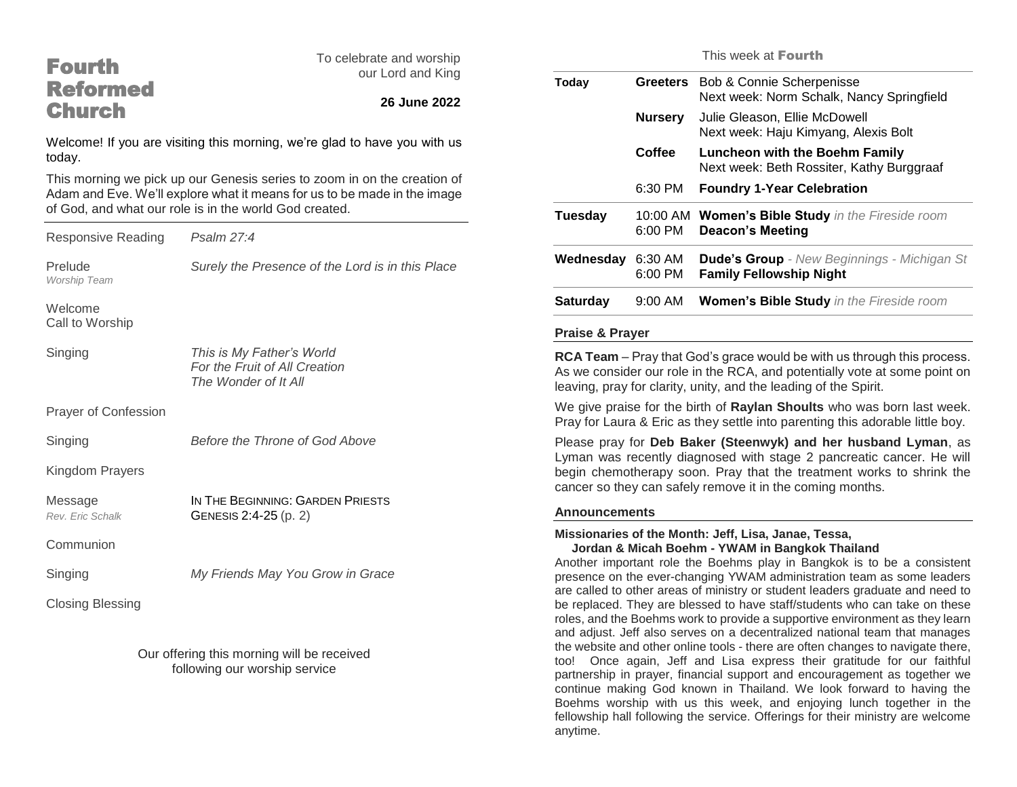## Fourth Reformed **Church**

To celebrate and worship our Lord and King

### **26 June 2022**

Welcome! If you are visiting this morning, we're glad to have you with us today.

This morning we pick up our Genesis series to zoom in on the creation of Adam and Eve. We'll explore what it means for us to be made in the image of God, and what our role is in the world God created.

| <b>Responsive Reading</b>   | Psalm 27:4                                                                         |
|-----------------------------|------------------------------------------------------------------------------------|
| Prelude<br>Worship Team     | Surely the Presence of the Lord is in this Place                                   |
| Welcome<br>Call to Worship  |                                                                                    |
| Singing                     | This is My Father's World<br>For the Fruit of All Creation<br>The Wonder of It All |
| <b>Prayer of Confession</b> |                                                                                    |
| Singing                     | Before the Throne of God Above                                                     |
| Kingdom Prayers             |                                                                                    |
| Message<br>Rev. Eric Schalk | IN THE BEGINNING: GARDEN PRIESTS<br>GENESIS 2:4-25 (p. 2)                          |
| Communion                   |                                                                                    |
| Singing                     | My Friends May You Grow in Grace                                                   |
| <b>Closing Blessing</b>     |                                                                                    |
|                             |                                                                                    |

Our offering this morning will be received following our worship service

This week at Fourth

| Bob & Connie Scherpenisse<br><b>Greeters</b><br>Next week: Norm Schalk, Nancy Springfield<br><b>Nursery</b><br>Julie Gleason, Ellie McDowell<br>Next week: Haju Kimyang, Alexis Bolt<br>Coffee<br><b>Luncheon with the Boehm Family</b><br>Next week: Beth Rossiter, Kathy Burggraaf<br>6:30 PM<br><b>Foundry 1-Year Celebration</b><br>Women's Bible Study in the Fireside room<br>10:00 AM<br>6:00 PM<br><b>Deacon's Meeting</b><br><b>Dude's Group</b> - New Beginnings - Michigan St<br>Wednesday 6:30 AM<br>6:00 PM<br><b>Family Fellowship Night</b><br><b>Women's Bible Study</b> in the Fireside room<br>9:00 AM<br><b>Praise &amp; Prayer</b><br>RCA Team - Pray that God's grace would be with us through this process.<br>As we consider our role in the RCA, and potentially vote at some point on<br>leaving, pray for clarity, unity, and the leading of the Spirit.<br>We give praise for the birth of Raylan Shoults who was born last week.<br>Pray for Laura & Eric as they settle into parenting this adorable little boy.<br>Please pray for Deb Baker (Steenwyk) and her husband Lyman, as<br>Lyman was recently diagnosed with stage 2 pancreatic cancer. He will<br>begin chemotherapy soon. Pray that the treatment works to shrink the<br>cancer so they can safely remove it in the coming months.<br><b>Announcements</b> |                 | <u>IIIIS WEER ALEUUILII</u> |
|------------------------------------------------------------------------------------------------------------------------------------------------------------------------------------------------------------------------------------------------------------------------------------------------------------------------------------------------------------------------------------------------------------------------------------------------------------------------------------------------------------------------------------------------------------------------------------------------------------------------------------------------------------------------------------------------------------------------------------------------------------------------------------------------------------------------------------------------------------------------------------------------------------------------------------------------------------------------------------------------------------------------------------------------------------------------------------------------------------------------------------------------------------------------------------------------------------------------------------------------------------------------------------------------------------------------------------------------------|-----------------|-----------------------------|
|                                                                                                                                                                                                                                                                                                                                                                                                                                                                                                                                                                                                                                                                                                                                                                                                                                                                                                                                                                                                                                                                                                                                                                                                                                                                                                                                                      | Today           |                             |
|                                                                                                                                                                                                                                                                                                                                                                                                                                                                                                                                                                                                                                                                                                                                                                                                                                                                                                                                                                                                                                                                                                                                                                                                                                                                                                                                                      |                 |                             |
|                                                                                                                                                                                                                                                                                                                                                                                                                                                                                                                                                                                                                                                                                                                                                                                                                                                                                                                                                                                                                                                                                                                                                                                                                                                                                                                                                      |                 |                             |
|                                                                                                                                                                                                                                                                                                                                                                                                                                                                                                                                                                                                                                                                                                                                                                                                                                                                                                                                                                                                                                                                                                                                                                                                                                                                                                                                                      |                 |                             |
|                                                                                                                                                                                                                                                                                                                                                                                                                                                                                                                                                                                                                                                                                                                                                                                                                                                                                                                                                                                                                                                                                                                                                                                                                                                                                                                                                      | <b>Tuesday</b>  |                             |
|                                                                                                                                                                                                                                                                                                                                                                                                                                                                                                                                                                                                                                                                                                                                                                                                                                                                                                                                                                                                                                                                                                                                                                                                                                                                                                                                                      |                 |                             |
|                                                                                                                                                                                                                                                                                                                                                                                                                                                                                                                                                                                                                                                                                                                                                                                                                                                                                                                                                                                                                                                                                                                                                                                                                                                                                                                                                      | <b>Saturday</b> |                             |
|                                                                                                                                                                                                                                                                                                                                                                                                                                                                                                                                                                                                                                                                                                                                                                                                                                                                                                                                                                                                                                                                                                                                                                                                                                                                                                                                                      |                 |                             |
|                                                                                                                                                                                                                                                                                                                                                                                                                                                                                                                                                                                                                                                                                                                                                                                                                                                                                                                                                                                                                                                                                                                                                                                                                                                                                                                                                      |                 |                             |
|                                                                                                                                                                                                                                                                                                                                                                                                                                                                                                                                                                                                                                                                                                                                                                                                                                                                                                                                                                                                                                                                                                                                                                                                                                                                                                                                                      |                 |                             |
|                                                                                                                                                                                                                                                                                                                                                                                                                                                                                                                                                                                                                                                                                                                                                                                                                                                                                                                                                                                                                                                                                                                                                                                                                                                                                                                                                      |                 |                             |
|                                                                                                                                                                                                                                                                                                                                                                                                                                                                                                                                                                                                                                                                                                                                                                                                                                                                                                                                                                                                                                                                                                                                                                                                                                                                                                                                                      |                 |                             |

#### **Missionaries of the Month: Jeff, Lisa, Janae, Tessa, Jordan & Micah Boehm - YWAM in Bangkok Thailand**

Another important role the Boehms play in Bangkok is to be a consistent presence on the ever-changing YWAM administration team as some leaders are called to other areas of ministry or student leaders graduate and need to be replaced. They are blessed to have staff/students who can take on these roles, and the Boehms work to provide a supportive environment as they learn and adjust. Jeff also serves on a decentralized national team that manages the website and other online tools - there are often changes to navigate there, too! Once again, Jeff and Lisa express their gratitude for our faithful partnership in prayer, financial support and encouragement as together we continue making God known in Thailand. We look forward to having the Boehms worship with us this week, and enjoying lunch together in the fellowship hall following the service. Offerings for their ministry are welcome anytime.